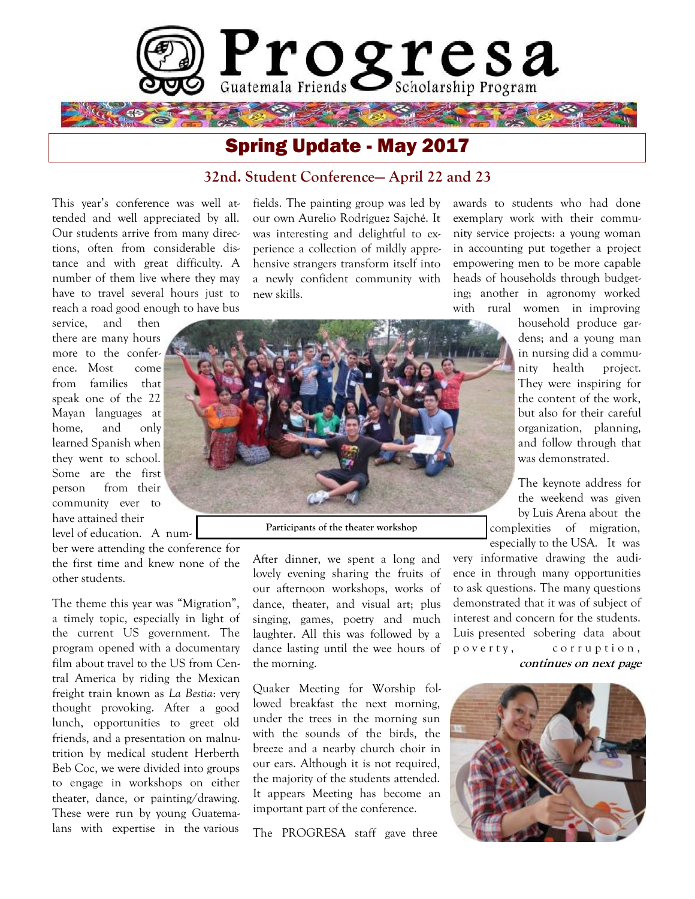

# Spring Update - May 2017

## **32nd. Student Conference— April 22 and 23**

This year's conference was well attended and well appreciated by all. Our students arrive from many directions, often from considerable distance and with great difficulty. A number of them live where they may have to travel several hours just to reach a road good enough to have bus

service, and then there are many hours more to the conference. Most come from families that speak one of the 22 Mayan languages at home, and only learned Spanish when they went to school. Some are the first person from their community ever to have attained their level of education. A num-

ber were attending the conference for the first time and knew none of the other students.

The theme this year was "Migration", a timely topic, especially in light of the current US government. The program opened with a documentary film about travel to the US from Central America by riding the Mexican freight train known as *La Bestia*: very thought provoking. After a good lunch, opportunities to greet old friends, and a presentation on malnutrition by medical student Herberth Beb Coc, we were divided into groups to engage in workshops on either theater, dance, or painting/drawing. These were run by young Guatemalans with expertise in the various

fields. The painting group was led by our own Aurelio Rodríguez Sajché. It was interesting and delightful to experience a collection of mildly apprehensive strangers transform itself into a newly confident community with new skills.

awards to students who had done exemplary work with their community service projects: a young woman in accounting put together a project empowering men to be more capable heads of households through budgeting; another in agronomy worked with rural women in improving

> household produce gardens; and a young man in nursing did a community health project. They were inspiring for the content of the work, but also for their careful organization, planning, and follow through that was demonstrated.

The keynote address for the weekend was given by Luis Arena about the complexities of migration, especially to the USA. It was

very informative drawing the audience in through many opportunities to ask questions. The many questions demonstrated that it was of subject of interest and concern for the students. Luis presented sobering data about p o v e r t y, corruption, **continues on next page**





**Participants of the theater workshop**

After dinner, we spent a long and lovely evening sharing the fruits of our afternoon workshops, works of dance, theater, and visual art; plus singing, games, poetry and much laughter. All this was followed by a dance lasting until the wee hours of the morning.

Quaker Meeting for Worship followed breakfast the next morning, under the trees in the morning sun with the sounds of the birds, the breeze and a nearby church choir in our ears. Although it is not required, the majority of the students attended. It appears Meeting has become an important part of the conference.

The PROGRESA staff gave three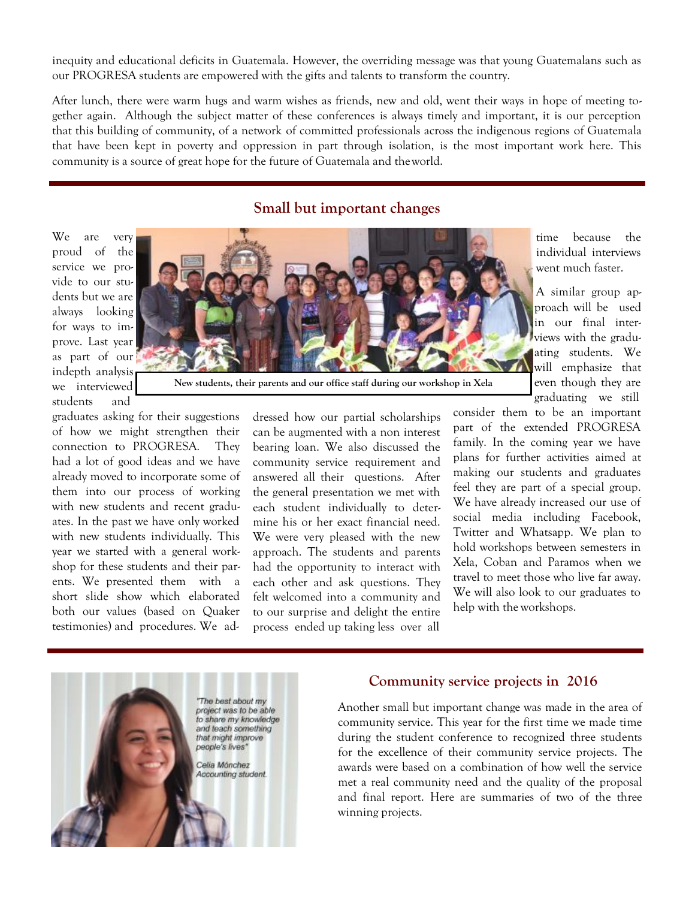inequity and educational deficits in Guatemala. However, the overriding message was that young Guatemalans such as our PROGRESA students are empowered with the gifts and talents to transform the country.

After lunch, there were warm hugs and warm wishes as friends, new and old, went their ways in hope of meeting together again. Although the subject matter of these conferences is always timely and important, it is our perception that this building of community, of a network of committed professionals across the indigenous regions of Guatemala that have been kept in poverty and oppression in part through isolation, is the most important work here. This community is a source of great hope for the future of Guatemala and theworld.

### **Small but important changes**

We are very proud of the service we provide to our students but we are always looking for ways to improve. Last year as part of our indepth analysis we interviewed students and



**New students, their parents and our office staff during our workshop in Xela**

graduates asking for their suggestions of how we might strengthen their connection to PROGRESA. They had a lot of good ideas and we have already moved to incorporate some of them into our process of working with new students and recent graduates. In the past we have only worked with new students individually. This year we started with a general workshop for these students and their parents. We presented them with a short slide show which elaborated both our values (based on Quaker testimonies) and procedures. We addressed how our partial scholarships can be augmented with a non interest bearing loan. We also discussed the community service requirement and answered all their questions. After the general presentation we met with each student individually to determine his or her exact financial need. We were very pleased with the new approach. The students and parents had the opportunity to interact with each other and ask questions. They felt welcomed into a community and to our surprise and delight the entire process ended up taking less over all

time because the individual interviews went much faster.

A similar group approach will be used in our final interviews with the graduating students. We will emphasize that even though they are graduating we still

consider them to be an important part of the extended PROGRESA family. In the coming year we have plans for further activities aimed at making our students and graduates feel they are part of a special group. We have already increased our use of social media including Facebook, Twitter and Whatsapp. We plan to hold workshops between semesters in Xela, Coban and Paramos when we travel to meet those who live far away. We will also look to our graduates to help with the workshops.

"The best about my project was to be able to share my knowledge and teach something that might improve people's lives' Celia Mónchez

Accounting student.

#### **Community service projects in 2016**

Another small but important change was made in the area of community service. This year for the first time we made time during the student conference to recognized three students for the excellence of their community service projects. The awards were based on a combination of how well the service met a real community need and the quality of the proposal and final report. Here are summaries of two of the three winning projects.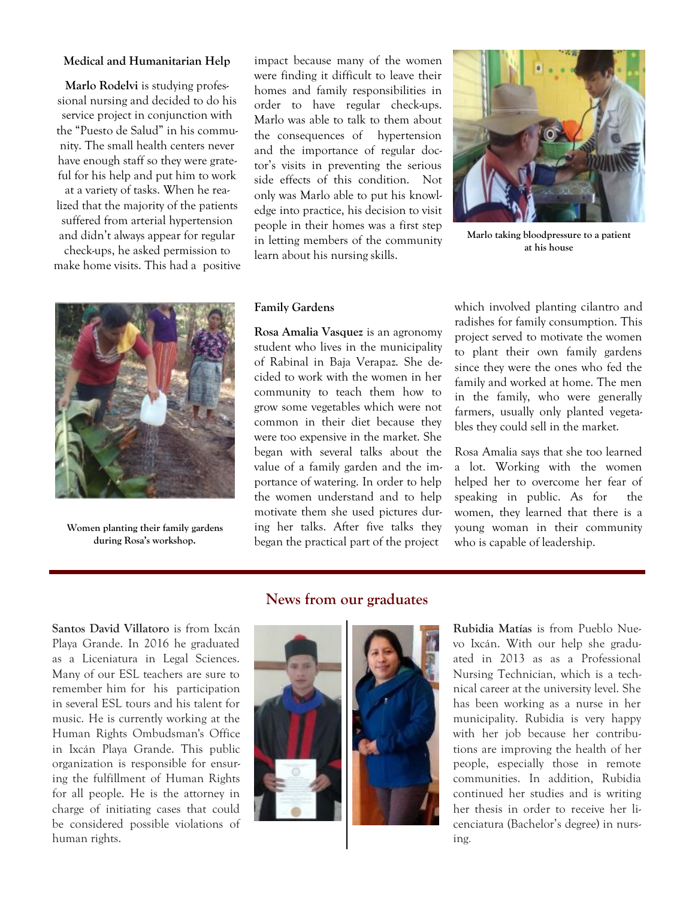#### **Medical and Humanitarian Help**

**Marlo Rodelvi** is studying professional nursing and decided to do his service project in conjunction with the "Puesto de Salud" in his community. The small health centers never have enough staff so they were grateful for his help and put him to work at a variety of tasks. When he realized that the majority of the patients suffered from arterial hypertension and didn't always appear for regular check-ups, he asked permission to make home visits. This had a positive



**Women planting their family gardens during Rosa's workshop.**

impact because many of the women were finding it difficult to leave their homes and family responsibilities in order to have regular check-ups. Marlo was able to talk to them about the consequences of hypertension and the importance of regular doctor's visits in preventing the serious side effects of this condition. Not only was Marlo able to put his knowledge into practice, his decision to visit people in their homes was a first step in letting members of the community learn about his nursing skills.



**Marlo taking bloodpressure to a patient at his house**

#### **Family Gardens**

**Rosa Amalia Vasquez** is an agronomy student who lives in the municipality of Rabinal in Baja Verapaz. She decided to work with the women in her community to teach them how to grow some vegetables which were not common in their diet because they were too expensive in the market. She began with several talks about the value of a family garden and the importance of watering. In order to help the women understand and to help motivate them she used pictures during her talks. After five talks they began the practical part of the project

which involved planting cilantro and radishes for family consumption. This project served to motivate the women to plant their own family gardens since they were the ones who fed the family and worked at home. The men in the family, who were generally farmers, usually only planted vegetables they could sell in the market.

Rosa Amalia says that she too learned a lot. Working with the women helped her to overcome her fear of speaking in public. As for the women, they learned that there is a young woman in their community who is capable of leadership.

**Santos David Villatoro** is from Ixcán Playa Grande. In 2016 he graduated as a Liceniatura in Legal Sciences. Many of our ESL teachers are sure to remember him for his participation in several ESL tours and his talent for music. He is currently working at the Human Rights Ombudsman's Office in Ixcán Playa Grande. This public organization is responsible for ensuring the fulfillment of Human Rights for all people. He is the attorney in charge of initiating cases that could be considered possible violations of human rights.

### **News from our graduates**



**Rubidia Matías** is from Pueblo Nuevo Ixcán. With our help she graduated in 2013 as as a Professional Nursing Technician, which is a technical career at the university level. She has been working as a nurse in her municipality. Rubidia is very happy with her job because her contributions are improving the health of her people, especially those in remote communities. In addition, Rubidia continued her studies and is writing her thesis in order to receive her licenciatura (Bachelor's degree) in nursing.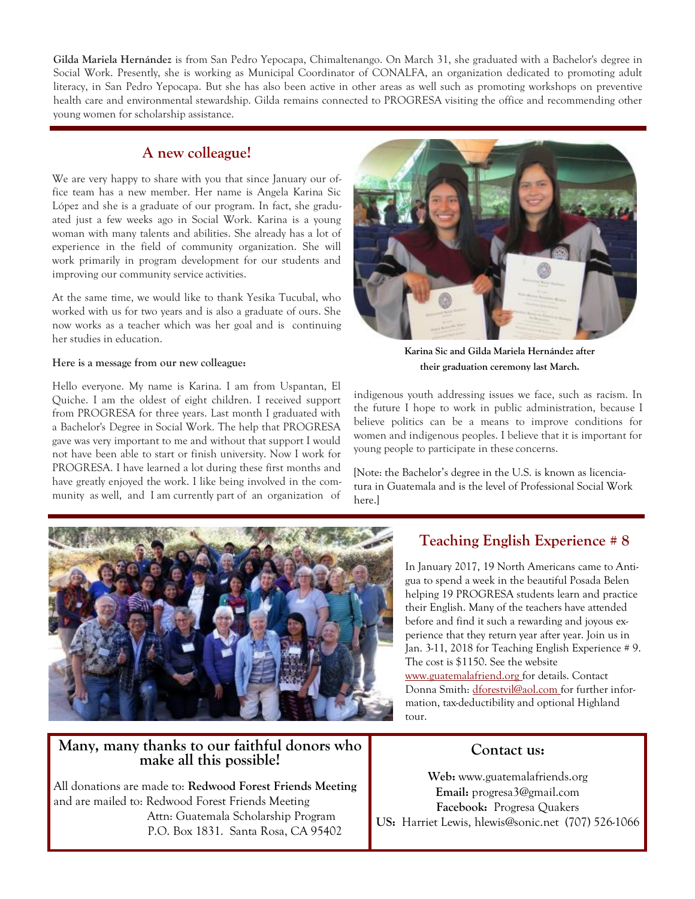**Gilda Mariela Hernández** is from San Pedro Yepocapa, Chimaltenango. On March 31, she graduated with a Bachelor's degree in Social Work. Presently, she is working as Municipal Coordinator of CONALFA, an organization dedicated to promoting adult literacy, in San Pedro Yepocapa. But she has also been active in other areas as well such as promoting workshops on preventive health care and environmental stewardship. Gilda remains connected to PROGRESA visiting the office and recommending other young women for scholarship assistance.

# **A new colleague!**

We are very happy to share with you that since January our office team has a new member. Her name is Angela Karina Sic López and she is a graduate of our program. In fact, she graduated just a few weeks ago in Social Work. Karina is a young woman with many talents and abilities. She already has a lot of experience in the field of community organization. She will work primarily in program development for our students and improving our community service activities.

At the same time, we would like to thank Yesika Tucubal, who worked with us for two years and is also a graduate of ours. She now works as a teacher which was her goal and is continuing her studies in education.

#### **Here is a message from our new colleague:**

Hello everyone. My name is Karina. I am from Uspantan, El Quiche. I am the oldest of eight children. I received support from PROGRESA for three years. Last month I graduated with a Bachelor's Degree in Social Work. The help that PROGRESA gave was very important to me and without that support I would not have been able to start or finish university. Now I work for PROGRESA. I have learned a lot during these first months and have greatly enjoyed the work. I like being involved in the community as well, and I am currently part of an organization of



**Karina Sic and Gilda Mariela Hernández after their graduation ceremony last March.**

indigenous youth addressing issues we face, such as racism. In the future I hope to work in public administration, because I believe politics can be a means to improve conditions for women and indigenous peoples. I believe that it is important for young people to participate in these concerns.

[Note: the Bachelor's degree in the U.S. is known as licenciatura in Guatemala and is the level of Professional Social Work here.]



## **Many, many thanks to our faithful donors who make all this possible!**

All donations are made to: **Redwood Forest Friends Meeting** and are mailed to: Redwood Forest Friends Meeting Attn: Guatemala Scholarship Program P.O. Box 1831. Santa Rosa, CA 95402

# **Teaching English Experience # 8**

In January 2017, 19 North Americans came to Antigua to spend a week in the beautiful Posada Belen helping 19 PROGRESA students learn and practice their English. Many of the teachers have attended before and find it such a rewarding and joyous experience that they return year after year. Join us in Jan. 3-11, 2018 for Teaching English Experience # 9. The cost is \$1150. See the website [www.guatemalafriend.org f](http://www.guatemalafriend.org/)or details. Contact Donna Smith: [dforestvil@aol.com f](mailto:dforestvil@aol.com)or further information, tax-deductibility and optional Highland tour.

# **Contact us:**

**Web:** [www.guatemalafriends.org](http://www.guatemalafriends.org/) **Email:** [progresa3@gmail.com](mailto:progresa3@gmail.com) **Facebook:** Progresa Quakers **US:** Harriet Lewis[, hlewis@sonic.net](mailto:hlewis@sonic.net) (707) 526-1066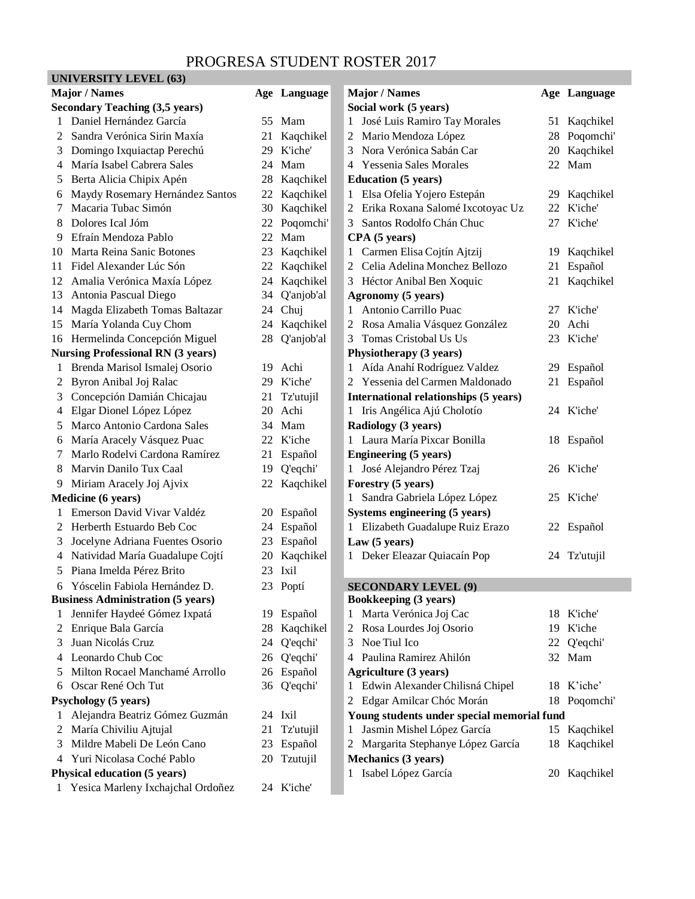# PROGRESA STUDENT ROSTER 2017

# **UNIVERSITY LEVEL (63)**

| <b>Major / Names</b>                                                         |                                                                     |    | Age Language |                       | <b>Major</b> / Names                        |    | Age Language   |
|------------------------------------------------------------------------------|---------------------------------------------------------------------|----|--------------|-----------------------|---------------------------------------------|----|----------------|
| <b>Secondary Teaching (3,5 years)</b>                                        |                                                                     |    |              | Social work (5 years) |                                             |    |                |
|                                                                              | Daniel Hernández García                                             |    | 55 Mam       |                       | José Luis Ramiro Tay Morales                |    | 51 Kaqchikel   |
| 2                                                                            | Sandra Verónica Sirin Maxía                                         | 21 | Kaqchikel    |                       | Mario Mendoza López<br>2                    | 28 | Poqomchi'      |
| 3                                                                            | Domingo Ixquiactap Perechú                                          |    | 29 K'iche'   |                       | Nora Verónica Sabán Car<br>3                | 20 | Kaqchikel      |
| 4                                                                            | María Isabel Cabrera Sales                                          | 24 | Mam          |                       | 4 Yessenia Sales Morales                    | 22 | Mam            |
| 5                                                                            | Berta Alicia Chipix Apén                                            | 28 | Kaqchikel    |                       | <b>Education</b> (5 years)                  |    |                |
| 6                                                                            | Maydy Rosemary Hernández Santos                                     |    | 22 Kaqchikel |                       | 1 Elsa Ofelia Yojero Estepán                | 29 | Kaqchikel      |
| 7                                                                            | Macaria Tubac Simón                                                 | 30 | Kaqchikel    |                       | Erika Roxana Salomé Ixcotoyac Uz<br>2       | 22 | K'iche'        |
| 8                                                                            | Dolores Ical Jóm                                                    | 22 | Poqomchi'    |                       | Santos Rodolfo Chán Chuc<br>$\mathfrak{Z}$  | 27 | K'iche'        |
| 9                                                                            | Efraín Mendoza Pablo                                                | 22 | Mam          |                       | CPA (5 years)                               |    |                |
| 10                                                                           | Marta Reina Sanic Botones                                           | 23 | Kaqchikel    |                       | 1 Carmen Elisa Cojtín Ajtzij                | 19 | Kaqchikel      |
| 11                                                                           | Fidel Alexander Lúc Són                                             | 22 | Kaqchikel    |                       | 2 Celia Adelina Monchez Bellozo             | 21 | Español        |
| 12                                                                           | Amalia Verónica Maxía López                                         | 24 | Kaqchikel    |                       | 3 Héctor Anibal Ben Xoquic                  | 21 | Kaqchikel      |
| 13                                                                           | Antonia Pascual Diego                                               | 34 | Q'anjob'al   |                       | Agronomy (5 years)                          |    |                |
| 14                                                                           | Magda Elizabeth Tomas Baltazar                                      |    | 24 Chuj      |                       | 1 Antonio Carrillo Puac                     |    | 27 K'iche'     |
| 15                                                                           | María Yolanda Cuy Chom                                              | 24 | Kaqchikel    |                       | 2 Rosa Amalia Vásquez González              | 20 | Achi           |
| 16                                                                           | Hermelinda Concepción Miguel                                        | 28 | Q'anjob'al   |                       | Tomas Cristobal Us Us<br>3                  |    | 23 K'iche'     |
|                                                                              | <b>Nursing Professional RN (3 years)</b><br>Physiotherapy (3 years) |    |              |                       |                                             |    |                |
| 1                                                                            | Brenda Marisol Ismalej Osorio                                       |    | 19 Achi      |                       | 1 Aída Anahí Rodríguez Valdez               |    | 29 Español     |
| 2                                                                            | Byron Anibal Joj Ralac                                              |    | 29 K'iche'   |                       | 2 Yessenia del Carmen Maldonado             | 21 | Español        |
| 3                                                                            | Concepción Damián Chicajau                                          |    | 21 Tz'utujil |                       | International relationships (5 years)       |    |                |
| 4                                                                            | Elgar Dionel López López                                            |    | 20 Achi      |                       | 1 Iris Angélica Ajú Cholotío                |    | 24 K'iche'     |
| 5                                                                            | Marco Antonio Cardona Sales                                         |    | 34 Mam       |                       | Radiology (3 years)                         |    |                |
| 6                                                                            | María Aracely Vásquez Puac                                          |    | 22 K'iche    |                       | 1 Laura María Pixcar Bonilla                |    | 18 Español     |
| 7                                                                            | Marlo Rodelvi Cardona Ramírez                                       | 21 | Español      |                       | <b>Engineering (5 years)</b>                |    |                |
| 8                                                                            | Marvin Danilo Tux Caal                                              | 19 | Q'eqchi'     |                       | 1 José Alejandro Pérez Tzaj                 |    | 26 K'iche'     |
| 9                                                                            | Miriam Aracely Joj Ajvix                                            |    | 22 Kaqchikel |                       | Forestry (5 years)                          |    |                |
|                                                                              | Medicine (6 years)                                                  |    |              |                       | Sandra Gabriela López López<br>$\mathbf{1}$ |    | 25 K'iche'     |
| 1                                                                            | Emerson David Vivar Valdéz                                          | 20 | Español      |                       | Systems engineering (5 years)               |    |                |
| 2                                                                            | Herberth Estuardo Beb Coc                                           |    | 24 Español   |                       | 1 Elizabeth Guadalupe Ruiz Erazo            |    | 22 Español     |
| 3                                                                            | Jocelyne Adriana Fuentes Osorio                                     |    | 23 Español   |                       | Law (5 years)                               |    |                |
| 4                                                                            | Natividad María Guadalupe Cojtí                                     | 20 | Kaqchikel    |                       | 1 Deker Eleazar Quiacaín Pop                |    | 24 Tz'utujil   |
| 5                                                                            | Piana Imelda Pérez Brito                                            | 23 | Ixil         |                       |                                             |    |                |
| 6                                                                            | Yóscelin Fabiola Hernández D.                                       |    | 23 Poptí     |                       | <b>SECONDARY LEVEL (9)</b>                  |    |                |
|                                                                              | <b>Business Administration (5 years)</b>                            |    |              |                       | <b>Bookkeeping (3 years)</b>                |    |                |
| 1                                                                            | Jennifer Haydeé Gómez Ixpatá                                        |    | 19 Español   |                       | Marta Verónica Joj Cac<br>1                 |    | 18 K'iche'     |
| 2                                                                            | Enrique Bala García                                                 | 28 | Kaqchikel    |                       | Rosa Lourdes Joj Osorio<br>2                | 19 | <b>K</b> 'iche |
| 3                                                                            | Juan Nicolás Cruz                                                   | 24 | Q'eqchi'     |                       | 3<br>Noe Tiul Ico                           | 22 | Q'eqchi'       |
| 4                                                                            | Leonardo Chub Coc                                                   | 26 | Q'eqchi'     |                       | Paulina Ramirez Ahilón<br>4                 | 32 | Mam            |
| 5                                                                            | Milton Rocael Manchamé Arrollo                                      |    | 26 Español   |                       | <b>Agriculture (3 years)</b>                |    |                |
| 6                                                                            | Oscar René Och Tut                                                  |    | 36 Q'eqchi'  |                       | 1 Edwin Alexander Chilisná Chipel           |    | 18 K'iche'     |
|                                                                              | <b>Psychology</b> (5 years)                                         |    |              |                       | Edgar Amilcar Chóc Morán<br>2               |    | 18 Poqomchi'   |
| $\mathbf{I}$                                                                 | Alejandra Beatriz Gómez Guzmán                                      |    | 24 Ixil      |                       | Young students under special memorial fund  |    |                |
| 2                                                                            | María Chiviliu Ajtujal                                              | 21 | Tz'utujil    |                       | Jasmin Mishel López García<br>1             |    | 15 Kaqchikel   |
| 3                                                                            | Mildre Mabeli De León Cano                                          |    | 23 Español   |                       | Margarita Stephanye López García<br>2       | 18 | Kaqchikel      |
| 4                                                                            | Yuri Nicolasa Coché Pablo                                           |    | 20 Tzutujil  |                       | Mechanics (3 years)                         |    |                |
| 1 Isabel López García<br>20 Kaqchikel<br><b>Physical education (5 years)</b> |                                                                     |    |              |                       |                                             |    |                |
|                                                                              | Yesica Marleny Ixchajchal Ordoñez                                   |    | 24 K'iche'   |                       |                                             |    |                |